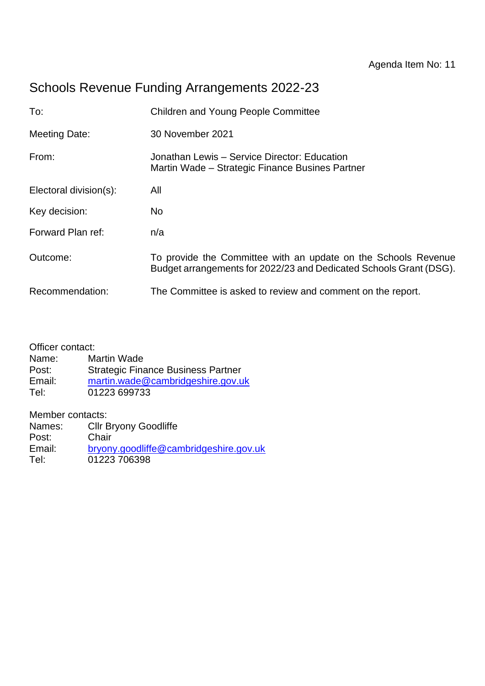# Schools Revenue Funding Arrangements 2022-23

| To:                    | <b>Children and Young People Committee</b>                                                                                           |  |  |
|------------------------|--------------------------------------------------------------------------------------------------------------------------------------|--|--|
| <b>Meeting Date:</b>   | 30 November 2021                                                                                                                     |  |  |
| From:                  | Jonathan Lewis - Service Director: Education<br>Martin Wade – Strategic Finance Busines Partner                                      |  |  |
| Electoral division(s): | All                                                                                                                                  |  |  |
| Key decision:          | N <sub>o</sub>                                                                                                                       |  |  |
| Forward Plan ref:      | n/a                                                                                                                                  |  |  |
| Outcome:               | To provide the Committee with an update on the Schools Revenue<br>Budget arrangements for 2022/23 and Dedicated Schools Grant (DSG). |  |  |
| Recommendation:        | The Committee is asked to review and comment on the report.                                                                          |  |  |

| Officer contact: |                                           |
|------------------|-------------------------------------------|
| Name:            | <b>Martin Wade</b>                        |
| Post:            | <b>Strategic Finance Business Partner</b> |
| Email:           | martin.wade@cambridgeshire.gov.uk         |
| Tel:             | 01223 699733                              |
|                  |                                           |

Member contacts:

| Names: | <b>Cllr Bryony Goodliffe</b>           |
|--------|----------------------------------------|
| Post:  | Chair                                  |
| Email: | bryony.goodliffe@cambridgeshire.gov.uk |
| Tel:   | 01223 706398                           |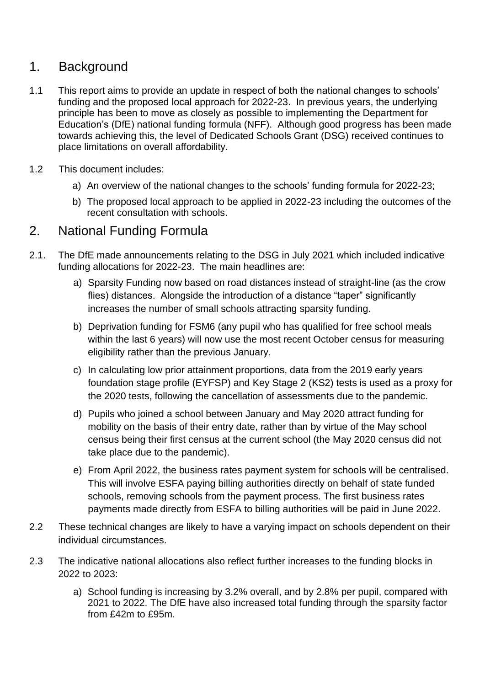## 1. Background

- 1.1 This report aims to provide an update in respect of both the national changes to schools' funding and the proposed local approach for 2022-23. In previous years, the underlying principle has been to move as closely as possible to implementing the Department for Education's (DfE) national funding formula (NFF). Although good progress has been made towards achieving this, the level of Dedicated Schools Grant (DSG) received continues to place limitations on overall affordability.
- 1.2 This document includes:
	- a) An overview of the national changes to the schools' funding formula for 2022-23;
	- b) The proposed local approach to be applied in 2022-23 including the outcomes of the recent consultation with schools.

### 2. National Funding Formula

- 2.1. The DfE made announcements relating to the DSG in July 2021 which included indicative funding allocations for 2022-23. The main headlines are:
	- a) Sparsity Funding now based on road distances instead of straight-line (as the crow flies) distances. Alongside the introduction of a distance "taper" significantly increases the number of small schools attracting sparsity funding.
	- b) Deprivation funding for FSM6 (any pupil who has qualified for free school meals within the last 6 years) will now use the most recent October census for measuring eligibility rather than the previous January.
	- c) In calculating low prior attainment proportions, data from the 2019 early years foundation stage profile (EYFSP) and Key Stage 2 (KS2) tests is used as a proxy for the 2020 tests, following the cancellation of assessments due to the pandemic.
	- d) Pupils who joined a school between January and May 2020 attract funding for mobility on the basis of their entry date, rather than by virtue of the May school census being their first census at the current school (the May 2020 census did not take place due to the pandemic).
	- e) From April 2022, the business rates payment system for schools will be centralised. This will involve ESFA paying billing authorities directly on behalf of state funded schools, removing schools from the payment process. The first business rates payments made directly from ESFA to billing authorities will be paid in June 2022.
- 2.2 These technical changes are likely to have a varying impact on schools dependent on their individual circumstances.
- 2.3 The indicative national allocations also reflect further increases to the funding blocks in 2022 to 2023:
	- a) School funding is increasing by 3.2% overall, and by 2.8% per pupil, compared with 2021 to 2022. The DfE have also increased total funding through the sparsity factor from £42m to £95m.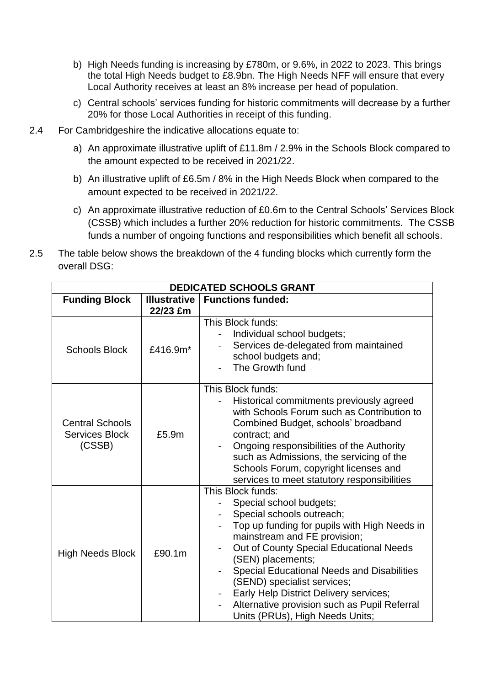- b) High Needs funding is increasing by £780m, or 9.6%, in 2022 to 2023. This brings the total High Needs budget to £8.9bn. The High Needs NFF will ensure that every Local Authority receives at least an 8% increase per head of population.
- c) Central schools' services funding for historic commitments will decrease by a further 20% for those Local Authorities in receipt of this funding.
- 2.4 For Cambridgeshire the indicative allocations equate to:
	- a) An approximate illustrative uplift of £11.8m / 2.9% in the Schools Block compared to the amount expected to be received in 2021/22.
	- b) An illustrative uplift of £6.5m / 8% in the High Needs Block when compared to the amount expected to be received in 2021/22.
	- c) An approximate illustrative reduction of £0.6m to the Central Schools' Services Block (CSSB) which includes a further 20% reduction for historic commitments. The CSSB funds a number of ongoing functions and responsibilities which benefit all schools.
- 2.5 The table below shows the breakdown of the 4 funding blocks which currently form the overall DSG:

| DEDICATED SCHOOLS GRANT                                   |                                 |                                                                                                                                                                                                                                                                                                                                                                                                                                            |  |
|-----------------------------------------------------------|---------------------------------|--------------------------------------------------------------------------------------------------------------------------------------------------------------------------------------------------------------------------------------------------------------------------------------------------------------------------------------------------------------------------------------------------------------------------------------------|--|
| <b>Funding Block</b>                                      | <b>Illustrative</b><br>22/23 £m | <b>Functions funded:</b>                                                                                                                                                                                                                                                                                                                                                                                                                   |  |
| <b>Schools Block</b>                                      | £416.9m*                        | This Block funds:<br>Individual school budgets;<br>Services de-delegated from maintained<br>school budgets and;<br>The Growth fund                                                                                                                                                                                                                                                                                                         |  |
| <b>Central Schools</b><br><b>Services Block</b><br>(CSSB) | £5.9m                           | This Block funds:<br>Historical commitments previously agreed<br>with Schools Forum such as Contribution to<br>Combined Budget, schools' broadband<br>contract; and<br>Ongoing responsibilities of the Authority<br>such as Admissions, the servicing of the<br>Schools Forum, copyright licenses and<br>services to meet statutory responsibilities                                                                                       |  |
| <b>High Needs Block</b>                                   | £90.1m                          | This Block funds:<br>Special school budgets;<br>Special schools outreach;<br>Top up funding for pupils with High Needs in<br>mainstream and FE provision;<br>Out of County Special Educational Needs<br>(SEN) placements;<br><b>Special Educational Needs and Disabilities</b><br>(SEND) specialist services;<br>Early Help District Delivery services;<br>Alternative provision such as Pupil Referral<br>Units (PRUs), High Needs Units; |  |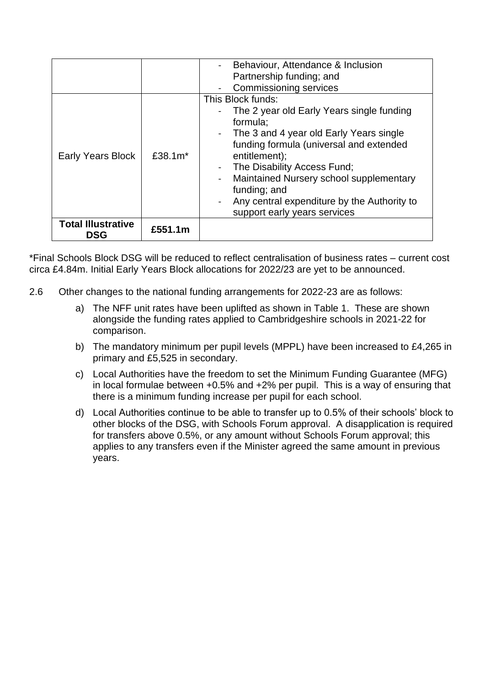|                                         |             | Behaviour, Attendance & Inclusion<br>Partnership funding; and<br><b>Commissioning services</b>                                                                                                                                                                                                                                                                               |
|-----------------------------------------|-------------|------------------------------------------------------------------------------------------------------------------------------------------------------------------------------------------------------------------------------------------------------------------------------------------------------------------------------------------------------------------------------|
| <b>Early Years Block</b>                | £38.1 $m^*$ | This Block funds:<br>The 2 year old Early Years single funding<br>formula;<br>The 3 and 4 year old Early Years single<br>funding formula (universal and extended<br>entitlement);<br>The Disability Access Fund;<br>$\blacksquare$<br>Maintained Nursery school supplementary<br>funding; and<br>Any central expenditure by the Authority to<br>support early years services |
| <b>Total Illustrative</b><br><b>DSG</b> | £551.1m     |                                                                                                                                                                                                                                                                                                                                                                              |

\*Final Schools Block DSG will be reduced to reflect centralisation of business rates – current cost circa £4.84m. Initial Early Years Block allocations for 2022/23 are yet to be announced.

- 2.6 Other changes to the national funding arrangements for 2022-23 are as follows:
	- a) The NFF unit rates have been uplifted as shown in Table 1. These are shown alongside the funding rates applied to Cambridgeshire schools in 2021-22 for comparison.
	- b) The mandatory minimum per pupil levels (MPPL) have been increased to £4,265 in primary and £5,525 in secondary.
	- c) Local Authorities have the freedom to set the Minimum Funding Guarantee (MFG) in local formulae between +0.5% and +2% per pupil. This is a way of ensuring that there is a minimum funding increase per pupil for each school.
	- d) Local Authorities continue to be able to transfer up to 0.5% of their schools' block to other blocks of the DSG, with Schools Forum approval. A disapplication is required for transfers above 0.5%, or any amount without Schools Forum approval; this applies to any transfers even if the Minister agreed the same amount in previous years.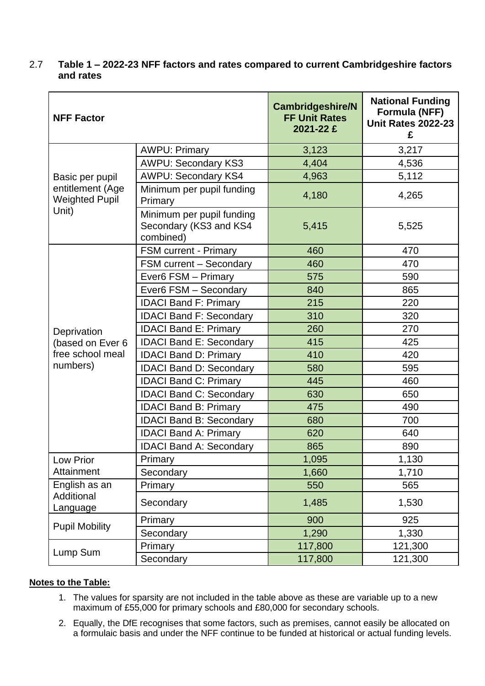#### 2.7 **Table 1 – 2022-23 NFF factors and rates compared to current Cambridgeshire factors and rates**

| <b>NFF Factor</b>                         |                                                                  | <b>Cambridgeshire/N</b><br><b>FF Unit Rates</b><br>2021-22 £ | <b>National Funding</b><br>Formula (NFF)<br><b>Unit Rates 2022-23</b><br>£ |
|-------------------------------------------|------------------------------------------------------------------|--------------------------------------------------------------|----------------------------------------------------------------------------|
|                                           | <b>AWPU: Primary</b>                                             | 3,123                                                        | 3,217                                                                      |
|                                           | <b>AWPU: Secondary KS3</b>                                       | 4,404                                                        | 4,536                                                                      |
| Basic per pupil                           | <b>AWPU: Secondary KS4</b>                                       | 4,963                                                        | 5,112                                                                      |
| entitlement (Age<br><b>Weighted Pupil</b> | Minimum per pupil funding<br>Primary                             | 4,180                                                        | 4,265                                                                      |
| Unit)                                     | Minimum per pupil funding<br>Secondary (KS3 and KS4<br>combined) | 5,415                                                        | 5,525                                                                      |
|                                           | <b>FSM current - Primary</b>                                     | 460                                                          | 470                                                                        |
|                                           | FSM current - Secondary                                          | 460                                                          | 470                                                                        |
|                                           | Ever6 FSM - Primary                                              | 575                                                          | 590                                                                        |
|                                           | Ever6 FSM - Secondary                                            | 840                                                          | 865                                                                        |
|                                           | <b>IDACI Band F: Primary</b>                                     | 215                                                          | 220                                                                        |
|                                           | <b>IDACI Band F: Secondary</b>                                   | 310                                                          | 320                                                                        |
| Deprivation                               | <b>IDACI Band E: Primary</b>                                     | 260                                                          | 270                                                                        |
| (based on Ever 6                          | <b>IDACI Band E: Secondary</b>                                   | 415                                                          | 425                                                                        |
| free school meal                          | <b>IDACI Band D: Primary</b>                                     | 410                                                          | 420                                                                        |
| numbers)                                  | <b>IDACI Band D: Secondary</b>                                   | 580                                                          | 595                                                                        |
|                                           | <b>IDACI Band C: Primary</b>                                     | 445                                                          | 460                                                                        |
|                                           | <b>IDACI Band C: Secondary</b>                                   | 630                                                          | 650                                                                        |
|                                           | <b>IDACI Band B: Primary</b>                                     | 475                                                          | 490                                                                        |
|                                           | <b>IDACI Band B: Secondary</b>                                   | 680                                                          | 700                                                                        |
|                                           | <b>IDACI Band A: Primary</b>                                     | 620                                                          | 640                                                                        |
|                                           | <b>IDACI Band A: Secondary</b>                                   | 865                                                          | 890                                                                        |
| Low Prior                                 | Primary                                                          | 1,095                                                        | 1,130                                                                      |
| Attainment                                | Secondary                                                        | 1,660                                                        | 1,710                                                                      |
| English as an                             | Primary                                                          | 550                                                          | 565                                                                        |
| Additional<br>Language                    | Secondary                                                        | 1,485                                                        | 1,530                                                                      |
| <b>Pupil Mobility</b>                     | Primary                                                          | 900                                                          | 925                                                                        |
|                                           | Secondary                                                        | 1,290                                                        | 1,330                                                                      |
|                                           | Primary                                                          | 117,800                                                      | 121,300                                                                    |
| Lump Sum                                  | Secondary                                                        | 117,800                                                      | 121,300                                                                    |

#### **Notes to the Table:**

- 1. The values for sparsity are not included in the table above as these are variable up to a new maximum of £55,000 for primary schools and £80,000 for secondary schools.
- 2. Equally, the DfE recognises that some factors, such as premises, cannot easily be allocated on a formulaic basis and under the NFF continue to be funded at historical or actual funding levels.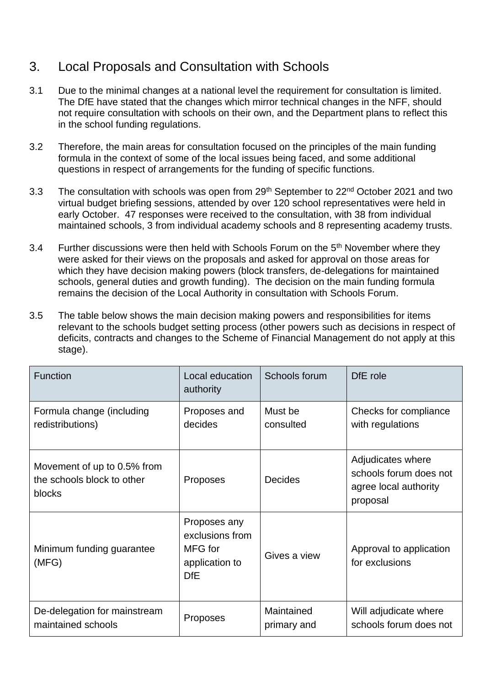# 3. Local Proposals and Consultation with Schools

- 3.1 Due to the minimal changes at a national level the requirement for consultation is limited. The DfE have stated that the changes which mirror technical changes in the NFF, should not require consultation with schools on their own, and the Department plans to reflect this in the school funding regulations.
- 3.2 Therefore, the main areas for consultation focused on the principles of the main funding formula in the context of some of the local issues being faced, and some additional questions in respect of arrangements for the funding of specific functions.
- 3.3 The consultation with schools was open from 29<sup>th</sup> September to 22<sup>nd</sup> October 2021 and two virtual budget briefing sessions, attended by over 120 school representatives were held in early October. 47 responses were received to the consultation, with 38 from individual maintained schools, 3 from individual academy schools and 8 representing academy trusts.
- 3.4 Further discussions were then held with Schools Forum on the 5<sup>th</sup> November where they were asked for their views on the proposals and asked for approval on those areas for which they have decision making powers (block transfers, de-delegations for maintained schools, general duties and growth funding). The decision on the main funding formula remains the decision of the Local Authority in consultation with Schools Forum.
- 3.5 The table below shows the main decision making powers and responsibilities for items relevant to the schools budget setting process (other powers such as decisions in respect of deficits, contracts and changes to the Scheme of Financial Management do not apply at this stage).

| <b>Function</b>                                                     | Local education<br>authority                                               | Schools forum             | DfE role                                                                         |
|---------------------------------------------------------------------|----------------------------------------------------------------------------|---------------------------|----------------------------------------------------------------------------------|
| Formula change (including<br>redistributions)                       | Proposes and<br>decides                                                    | Must be<br>consulted      | Checks for compliance<br>with regulations                                        |
| Movement of up to 0.5% from<br>the schools block to other<br>blocks | Proposes                                                                   | <b>Decides</b>            | Adjudicates where<br>schools forum does not<br>agree local authority<br>proposal |
| Minimum funding guarantee<br>(MFG)                                  | Proposes any<br>exclusions from<br>MFG for<br>application to<br><b>DfE</b> | Gives a view              | Approval to application<br>for exclusions                                        |
| De-delegation for mainstream<br>maintained schools                  | <b>Proposes</b>                                                            | Maintained<br>primary and | Will adjudicate where<br>schools forum does not                                  |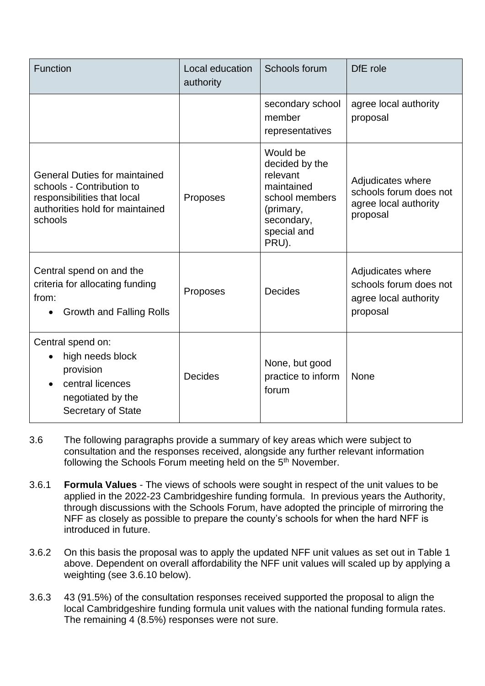| <b>Function</b>                                                                                                                                | Local education<br>authority | Schools forum                                                                                                             | DfE role                                                                         |
|------------------------------------------------------------------------------------------------------------------------------------------------|------------------------------|---------------------------------------------------------------------------------------------------------------------------|----------------------------------------------------------------------------------|
|                                                                                                                                                |                              | secondary school<br>member<br>representatives                                                                             | agree local authority<br>proposal                                                |
| <b>General Duties for maintained</b><br>schools - Contribution to<br>responsibilities that local<br>authorities hold for maintained<br>schools | Proposes                     | Would be<br>decided by the<br>relevant<br>maintained<br>school members<br>(primary,<br>secondary,<br>special and<br>PRU). | Adjudicates where<br>schools forum does not<br>agree local authority<br>proposal |
| Central spend on and the<br>criteria for allocating funding<br>from:<br>Growth and Falling Rolls                                               | Proposes                     | <b>Decides</b>                                                                                                            | Adjudicates where<br>schools forum does not<br>agree local authority<br>proposal |
| Central spend on:<br>high needs block<br>provision<br>central licences<br>negotiated by the<br><b>Secretary of State</b>                       | <b>Decides</b>               | None, but good<br>practice to inform<br>forum                                                                             | None                                                                             |

- 3.6 The following paragraphs provide a summary of key areas which were subject to consultation and the responses received, alongside any further relevant information following the Schools Forum meeting held on the 5<sup>th</sup> November.
- 3.6.1 **Formula Values** The views of schools were sought in respect of the unit values to be applied in the 2022-23 Cambridgeshire funding formula. In previous years the Authority, through discussions with the Schools Forum, have adopted the principle of mirroring the NFF as closely as possible to prepare the county's schools for when the hard NFF is introduced in future.
- 3.6.2 On this basis the proposal was to apply the updated NFF unit values as set out in Table 1 above. Dependent on overall affordability the NFF unit values will scaled up by applying a weighting (see 3.6.10 below).
- 3.6.3 43 (91.5%) of the consultation responses received supported the proposal to align the local Cambridgeshire funding formula unit values with the national funding formula rates. The remaining 4 (8.5%) responses were not sure.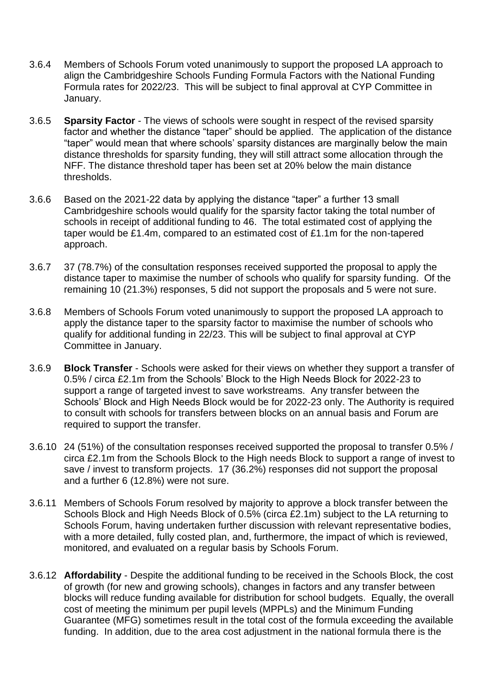- 3.6.4 Members of Schools Forum voted unanimously to support the proposed LA approach to align the Cambridgeshire Schools Funding Formula Factors with the National Funding Formula rates for 2022/23. This will be subject to final approval at CYP Committee in January.
- 3.6.5 **Sparsity Factor** The views of schools were sought in respect of the revised sparsity factor and whether the distance "taper" should be applied. The application of the distance "taper" would mean that where schools' sparsity distances are marginally below the main distance thresholds for sparsity funding, they will still attract some allocation through the NFF. The distance threshold taper has been set at 20% below the main distance thresholds.
- 3.6.6 Based on the 2021-22 data by applying the distance "taper" a further 13 small Cambridgeshire schools would qualify for the sparsity factor taking the total number of schools in receipt of additional funding to 46. The total estimated cost of applying the taper would be £1.4m, compared to an estimated cost of £1.1m for the non-tapered approach.
- 3.6.7 37 (78.7%) of the consultation responses received supported the proposal to apply the distance taper to maximise the number of schools who qualify for sparsity funding. Of the remaining 10 (21.3%) responses, 5 did not support the proposals and 5 were not sure.
- 3.6.8 Members of Schools Forum voted unanimously to support the proposed LA approach to apply the distance taper to the sparsity factor to maximise the number of schools who qualify for additional funding in 22/23. This will be subject to final approval at CYP Committee in January.
- 3.6.9 **Block Transfer** Schools were asked for their views on whether they support a transfer of 0.5% / circa £2.1m from the Schools' Block to the High Needs Block for 2022-23 to support a range of targeted invest to save workstreams. Any transfer between the Schools' Block and High Needs Block would be for 2022-23 only. The Authority is required to consult with schools for transfers between blocks on an annual basis and Forum are required to support the transfer.
- 3.6.10 24 (51%) of the consultation responses received supported the proposal to transfer 0.5% / circa £2.1m from the Schools Block to the High needs Block to support a range of invest to save / invest to transform projects. 17 (36.2%) responses did not support the proposal and a further 6 (12.8%) were not sure.
- 3.6.11 Members of Schools Forum resolved by majority to approve a block transfer between the Schools Block and High Needs Block of 0.5% (circa £2.1m) subject to the LA returning to Schools Forum, having undertaken further discussion with relevant representative bodies, with a more detailed, fully costed plan, and, furthermore, the impact of which is reviewed, monitored, and evaluated on a regular basis by Schools Forum.
- 3.6.12 **Affordability** Despite the additional funding to be received in the Schools Block, the cost of growth (for new and growing schools), changes in factors and any transfer between blocks will reduce funding available for distribution for school budgets. Equally, the overall cost of meeting the minimum per pupil levels (MPPLs) and the Minimum Funding Guarantee (MFG) sometimes result in the total cost of the formula exceeding the available funding. In addition, due to the area cost adjustment in the national formula there is the